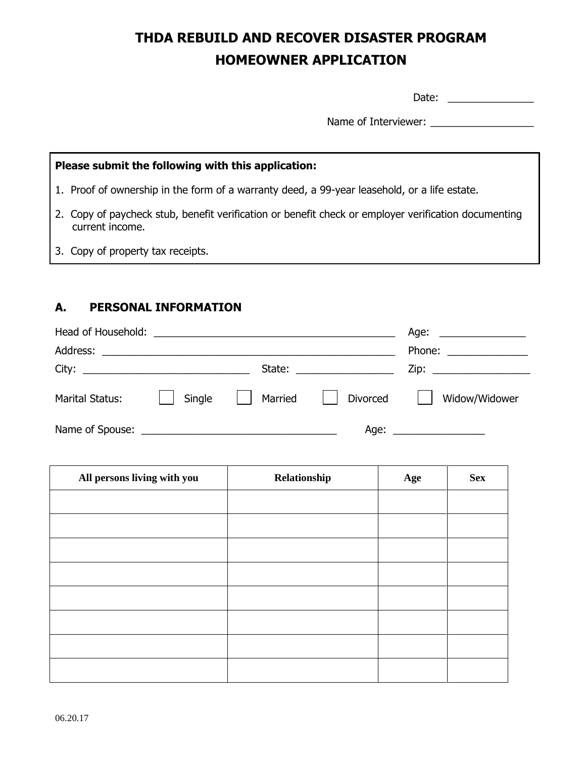# **THDA REBUILD AND RECOVER DISASTER PROGRAM HOMEOWNER APPLICATION**

Date: \_\_\_\_\_\_\_\_\_\_\_\_\_\_\_

Name of Interviewer: \_\_\_\_\_\_\_\_\_\_\_\_\_\_\_\_\_\_

| Please submit the following with this application:                                                                      |  |  |  |  |
|-------------------------------------------------------------------------------------------------------------------------|--|--|--|--|
| 1. Proof of ownership in the form of a warranty deed, a 99-year leasehold, or a life estate.                            |  |  |  |  |
| 2. Copy of paycheck stub, benefit verification or benefit check or employer verification documenting<br>current income. |  |  |  |  |
| 3. Copy of property tax receipts.                                                                                       |  |  |  |  |

### **A. PERSONAL INFORMATION**

| Head of Household:     |        | <u> 1989 - Jan Barbara Barat, margaret eta idazlea (h. 1989).</u> |                                                                                                                                                                                                                                | Age: $\qquad \qquad$      |
|------------------------|--------|-------------------------------------------------------------------|--------------------------------------------------------------------------------------------------------------------------------------------------------------------------------------------------------------------------------|---------------------------|
| Address:               |        | <u> 1989 - Andrea Andrew Maria (h. 1989).</u>                     |                                                                                                                                                                                                                                | Phone: $\frac{1}{2}$      |
|                        |        |                                                                   | State: the contract of the contract of the contract of the contract of the contract of the contract of the contract of the contract of the contract of the contract of the contract of the contract of the contract of the con | Zip: ____________________ |
| <b>Marital Status:</b> | Single | Married                                                           | Divorced                                                                                                                                                                                                                       | Widow/Widower             |
|                        |        |                                                                   |                                                                                                                                                                                                                                | Age:                      |

 $\overline{\phantom{a}}$ 

 $\overline{\phantom{a}}$ 

 $\overline{\phantom{a}}$ 

| All persons living with you | Relationship | Age | <b>Sex</b> |
|-----------------------------|--------------|-----|------------|
|                             |              |     |            |
|                             |              |     |            |
|                             |              |     |            |
|                             |              |     |            |
|                             |              |     |            |
|                             |              |     |            |
|                             |              |     |            |
|                             |              |     |            |

 $\blacksquare$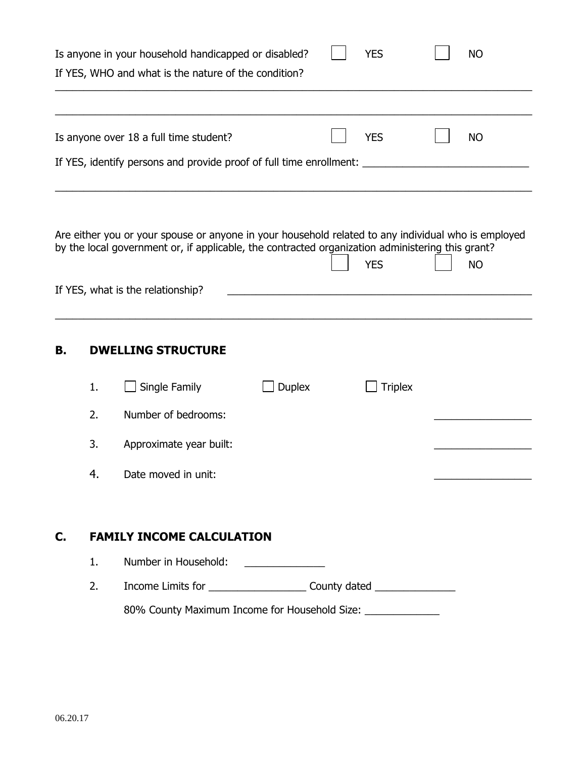| <b>YES</b><br>Is anyone in your household handicapped or disabled?<br><b>NO</b><br>If YES, WHO and what is the nature of the condition? |    |                                                                                                                                                                                                                                              |               |  |                |  |           |  |
|-----------------------------------------------------------------------------------------------------------------------------------------|----|----------------------------------------------------------------------------------------------------------------------------------------------------------------------------------------------------------------------------------------------|---------------|--|----------------|--|-----------|--|
|                                                                                                                                         |    |                                                                                                                                                                                                                                              |               |  |                |  |           |  |
|                                                                                                                                         |    | Is anyone over 18 a full time student?                                                                                                                                                                                                       |               |  | <b>YES</b>     |  | <b>NO</b> |  |
|                                                                                                                                         |    | If YES, identify persons and provide proof of full time enrollment: ___                                                                                                                                                                      |               |  |                |  |           |  |
|                                                                                                                                         |    | Are either you or your spouse or anyone in your household related to any individual who is employed<br>by the local government or, if applicable, the contracted organization administering this grant?<br>If YES, what is the relationship? |               |  | <b>YES</b>     |  | <b>NO</b> |  |
|                                                                                                                                         |    |                                                                                                                                                                                                                                              |               |  |                |  |           |  |
| В.                                                                                                                                      |    | <b>DWELLING STRUCTURE</b>                                                                                                                                                                                                                    |               |  |                |  |           |  |
|                                                                                                                                         | 1. | Single Family                                                                                                                                                                                                                                | <b>Duplex</b> |  | <b>Triplex</b> |  |           |  |
|                                                                                                                                         | 2. | Number of bedrooms:                                                                                                                                                                                                                          |               |  |                |  |           |  |
|                                                                                                                                         | 3. | Approximate year built:                                                                                                                                                                                                                      |               |  |                |  |           |  |
|                                                                                                                                         | 4. | Date moved in unit:                                                                                                                                                                                                                          |               |  |                |  |           |  |
| C.                                                                                                                                      |    | <b>FAMILY INCOME CALCULATION</b>                                                                                                                                                                                                             |               |  |                |  |           |  |
|                                                                                                                                         | 1. | Number in Household:                                                                                                                                                                                                                         |               |  |                |  |           |  |
|                                                                                                                                         | 2. | Income Limits for _________________________________County dated _________________                                                                                                                                                            |               |  |                |  |           |  |
|                                                                                                                                         |    | 80% County Maximum Income for Household Size: _______________                                                                                                                                                                                |               |  |                |  |           |  |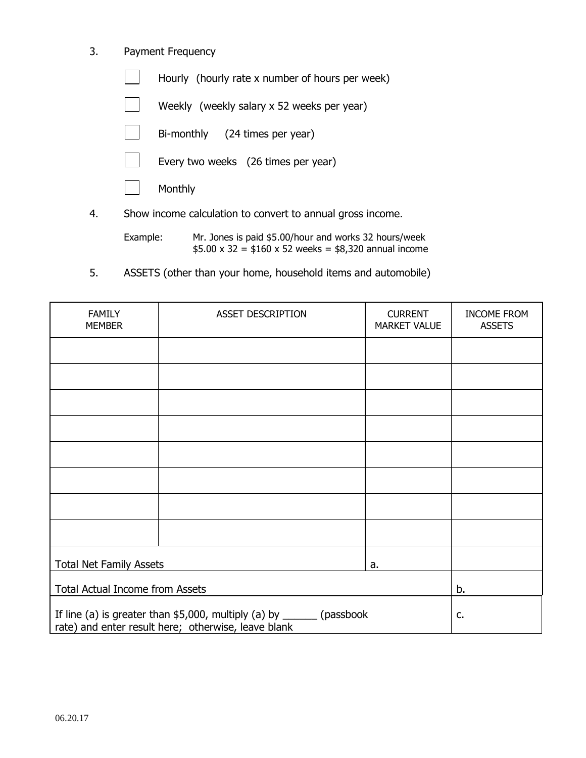#### 3. Payment Frequency

Hourly (hourly rate x number of hours per week)

Weekly (weekly salary x 52 weeks per year)

Bi-monthly (24 times per year)

Every two weeks (26 times per year)

Monthly

4. Show income calculation to convert to annual gross income.

Example: Mr. Jones is paid \$5.00/hour and works 32 hours/week  $$5.00 \times 32 = $160 \times 52$  weeks = \$8,320 annual income

5. ASSETS (other than your home, household items and automobile)

| <b>FAMILY</b><br><b>MEMBER</b>         | <b>ASSET DESCRIPTION</b>                                                                                                        | <b>CURRENT</b><br><b>MARKET VALUE</b> | <b>INCOME FROM</b><br><b>ASSETS</b> |  |  |  |
|----------------------------------------|---------------------------------------------------------------------------------------------------------------------------------|---------------------------------------|-------------------------------------|--|--|--|
|                                        |                                                                                                                                 |                                       |                                     |  |  |  |
|                                        |                                                                                                                                 |                                       |                                     |  |  |  |
|                                        |                                                                                                                                 |                                       |                                     |  |  |  |
|                                        |                                                                                                                                 |                                       |                                     |  |  |  |
|                                        |                                                                                                                                 |                                       |                                     |  |  |  |
|                                        |                                                                                                                                 |                                       |                                     |  |  |  |
|                                        |                                                                                                                                 |                                       |                                     |  |  |  |
|                                        |                                                                                                                                 |                                       |                                     |  |  |  |
| <b>Total Net Family Assets</b>         |                                                                                                                                 | a.                                    |                                     |  |  |  |
| <b>Total Actual Income from Assets</b> | b.                                                                                                                              |                                       |                                     |  |  |  |
|                                        | If line (a) is greater than $$5,000$ , multiply (a) by _______ (passbook<br>rate) and enter result here; otherwise, leave blank |                                       |                                     |  |  |  |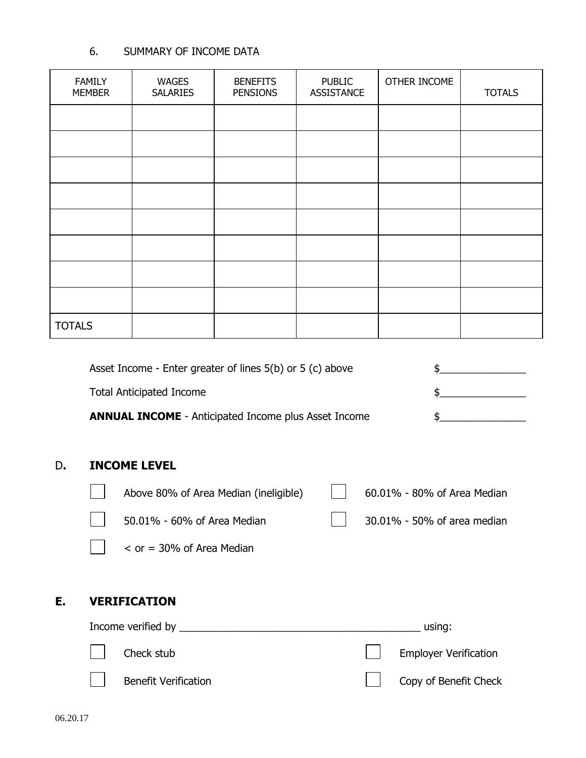#### 6. SUMMARY OF INCOME DATA

| <b>FAMILY</b><br><b>MEMBER</b> | <b>WAGES</b><br><b>SALARIES</b> | <b>BENEFITS</b><br><b>PENSIONS</b> | <b>PUBLIC</b><br><b>ASSISTANCE</b> | OTHER INCOME | <b>TOTALS</b> |
|--------------------------------|---------------------------------|------------------------------------|------------------------------------|--------------|---------------|
|                                |                                 |                                    |                                    |              |               |
|                                |                                 |                                    |                                    |              |               |
|                                |                                 |                                    |                                    |              |               |
|                                |                                 |                                    |                                    |              |               |
|                                |                                 |                                    |                                    |              |               |
|                                |                                 |                                    |                                    |              |               |
|                                |                                 |                                    |                                    |              |               |
|                                |                                 |                                    |                                    |              |               |
| <b>TOTALS</b>                  |                                 |                                    |                                    |              |               |
|                                |                                 |                                    |                                    |              |               |

|                                    | Asset Income - Enter greater of lines $5(b)$ or $5(c)$ above |  |                             |  |
|------------------------------------|--------------------------------------------------------------|--|-----------------------------|--|
| <b>Total Anticipated Income</b>    |                                                              |  | \$.                         |  |
|                                    | <b>ANNUAL INCOME</b> - Anticipated Income plus Asset Income  |  |                             |  |
|                                    |                                                              |  |                             |  |
| <b>INCOME LEVEL</b>                |                                                              |  |                             |  |
|                                    | Above 80% of Area Median (ineligible)                        |  | 60.01% - 80% of Area Median |  |
|                                    | 50.01% - 60% of Area Median                                  |  | 30.01% - 50% of area median |  |
| $\epsilon$ or = 30% of Area Median |                                                              |  |                             |  |
|                                    |                                                              |  |                             |  |
| <b>VERIFICATION</b>                |                                                              |  |                             |  |
| Income verified by                 |                                                              |  | using:                      |  |

| $\Box$ Check stub    | Employer Verification |
|----------------------|-----------------------|
| Benefit Verification | Copy of Benefit Check |

**D.** 

**E. VERIFICATION**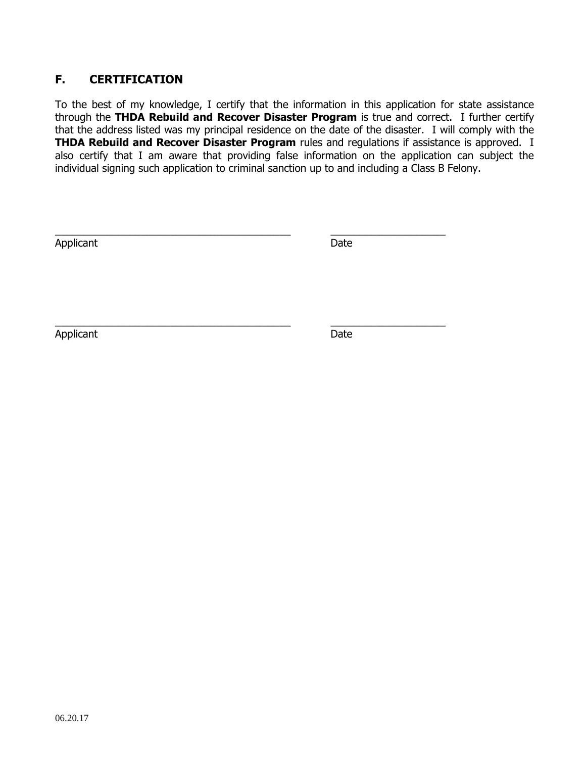#### **F. CERTIFICATION**

To the best of my knowledge, I certify that the information in this application for state assistance through the **THDA Rebuild and Recover Disaster Program** is true and correct. I further certify that the address listed was my principal residence on the date of the disaster. I will comply with the **THDA Rebuild and Recover Disaster Program** rules and regulations if assistance is approved. I also certify that I am aware that providing false information on the application can subject the individual signing such application to criminal sanction up to and including a Class B Felony.

\_\_\_\_\_\_\_\_\_\_\_\_\_\_\_\_\_\_\_\_\_\_\_\_\_\_\_\_\_\_\_\_\_\_\_\_\_\_\_\_\_ \_\_\_\_\_\_\_\_\_\_\_\_\_\_\_\_\_\_\_\_

\_\_\_\_\_\_\_\_\_\_\_\_\_\_\_\_\_\_\_\_\_\_\_\_\_\_\_\_\_\_\_\_\_\_\_\_\_\_\_\_\_ \_\_\_\_\_\_\_\_\_\_\_\_\_\_\_\_\_\_\_\_

Applicant Date **Date** 

Applicant Date **Date**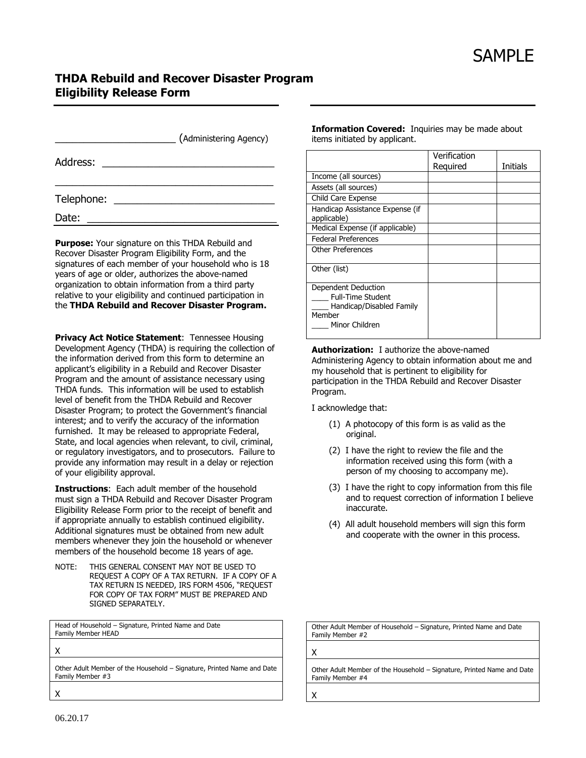#### **THDA Rebuild and Recover Disaster Program Eligibility Release Form**

|                                  | (Administering Agency) |
|----------------------------------|------------------------|
| Address: _______________________ |                        |
|                                  |                        |
| Date:                            |                        |

**Purpose:** Your signature on this THDA Rebuild and Recover Disaster Program Eligibility Form, and the signatures of each member of your household who is 18 years of age or older, authorizes the above-named organization to obtain information from a third party relative to your eligibility and continued participation in the **THDA Rebuild and Recover Disaster Program.**

**Privacy Act Notice Statement**: Tennessee Housing Development Agency (THDA) is requiring the collection of the information derived from this form to determine an applicant's eligibility in a Rebuild and Recover Disaster Program and the amount of assistance necessary using THDA funds. This information will be used to establish level of benefit from the THDA Rebuild and Recover Disaster Program; to protect the Government's financial interest; and to verify the accuracy of the information furnished. It may be released to appropriate Federal, State, and local agencies when relevant, to civil, criminal, or regulatory investigators, and to prosecutors. Failure to provide any information may result in a delay or rejection of your eligibility approval.

**Instructions**: Each adult member of the household must sign a THDA Rebuild and Recover Disaster Program Eligibility Release Form prior to the receipt of benefit and if appropriate annually to establish continued eligibility. Additional signatures must be obtained from new adult members whenever they join the household or whenever members of the household become 18 years of age.

NOTE: THIS GENERAL CONSENT MAY NOT BE USED TO REQUEST A COPY OF A TAX RETURN. IF A COPY OF A TAX RETURN IS NEEDED, IRS FORM 4506, "REQUEST FOR COPY OF TAX FORM" MUST BE PREPARED AND SIGNED SEPARATELY.

Head of Household – Signature, Printed Name and Date Family Member HEAD

X

Other Adult Member of the Household – Signature, Printed Name and Date Family Member #3

X

**Information Covered:** Inquiries may be made about items initiated by applicant.

|                                                                                                         | Verification |                 |
|---------------------------------------------------------------------------------------------------------|--------------|-----------------|
|                                                                                                         | Required     | <b>Initials</b> |
| Income (all sources)                                                                                    |              |                 |
| Assets (all sources)                                                                                    |              |                 |
| Child Care Expense                                                                                      |              |                 |
| Handicap Assistance Expense (if<br>applicable)                                                          |              |                 |
| Medical Expense (if applicable)                                                                         |              |                 |
| <b>Federal Preferences</b>                                                                              |              |                 |
| <b>Other Preferences</b>                                                                                |              |                 |
| Other (list)                                                                                            |              |                 |
| Dependent Deduction<br><b>Full-Time Student</b><br>Handicap/Disabled Family<br>Member<br>Minor Children |              |                 |

**Authorization:** I authorize the above-named Administering Agency to obtain information about me and my household that is pertinent to eligibility for participation in the THDA Rebuild and Recover Disaster Program.

I acknowledge that:

- (1) A photocopy of this form is as valid as the original.
- (2) I have the right to review the file and the information received using this form (with a person of my choosing to accompany me).
- (3) I have the right to copy information from this file and to request correction of information I believe inaccurate.
- (4) All adult household members will sign this form and cooperate with the owner in this process.

Other Adult Member of Household – Signature, Printed Name and Date Family Member #2

X

Other Adult Member of the Household – Signature, Printed Name and Date Family Member #4

X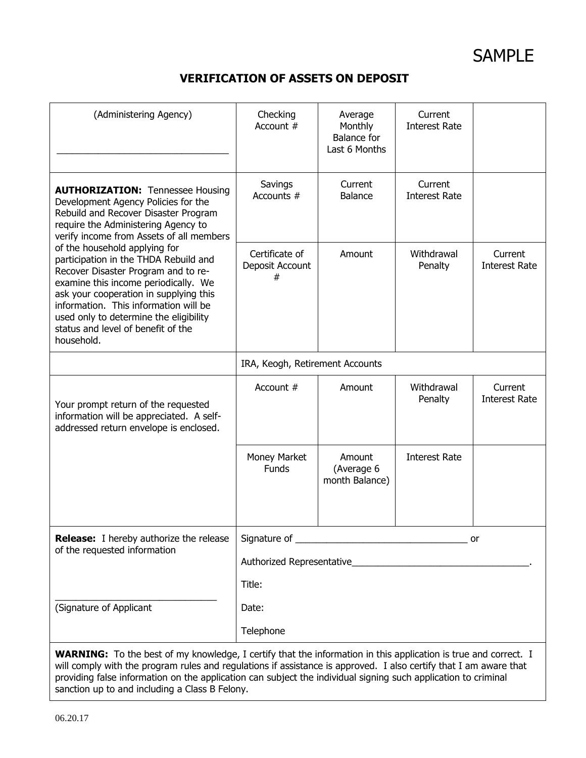#### **VERIFICATION OF ASSETS ON DEPOSIT**

| (Administering Agency)                                                                                                                                                                                                                                                                                                                                        | Checking<br>Account #                  | Average<br>Monthly<br><b>Balance for</b><br>Last 6 Months | Current<br><b>Interest Rate</b> |                                 |
|---------------------------------------------------------------------------------------------------------------------------------------------------------------------------------------------------------------------------------------------------------------------------------------------------------------------------------------------------------------|----------------------------------------|-----------------------------------------------------------|---------------------------------|---------------------------------|
| <b>AUTHORIZATION: Tennessee Housing</b><br>Development Agency Policies for the<br>Rebuild and Recover Disaster Program<br>require the Administering Agency to<br>verify income from Assets of all members                                                                                                                                                     | Savings<br>Accounts #                  | Current<br><b>Balance</b>                                 | Current<br><b>Interest Rate</b> |                                 |
| of the household applying for<br>participation in the THDA Rebuild and<br>Recover Disaster Program and to re-<br>examine this income periodically. We<br>ask your cooperation in supplying this<br>information. This information will be<br>used only to determine the eligibility<br>status and level of benefit of the<br>household.                        | Certificate of<br>Deposit Account<br># | Amount                                                    | Withdrawal<br>Penalty           | Current<br><b>Interest Rate</b> |
|                                                                                                                                                                                                                                                                                                                                                               | IRA, Keogh, Retirement Accounts        |                                                           |                                 |                                 |
| Your prompt return of the requested<br>information will be appreciated. A self-<br>addressed return envelope is enclosed.                                                                                                                                                                                                                                     | Account #                              | Amount                                                    | Withdrawal<br>Penalty           | Current<br><b>Interest Rate</b> |
|                                                                                                                                                                                                                                                                                                                                                               | Money Market<br><b>Funds</b>           | Amount<br>(Average 6<br>month Balance)                    | <b>Interest Rate</b>            |                                 |
| <b>Release:</b> I hereby authorize the release                                                                                                                                                                                                                                                                                                                |                                        |                                                           |                                 | or                              |
| of the requested information                                                                                                                                                                                                                                                                                                                                  |                                        |                                                           |                                 |                                 |
|                                                                                                                                                                                                                                                                                                                                                               | Title:                                 |                                                           |                                 |                                 |
| (Signature of Applicant                                                                                                                                                                                                                                                                                                                                       | Date:                                  |                                                           |                                 |                                 |
|                                                                                                                                                                                                                                                                                                                                                               | Telephone                              |                                                           |                                 |                                 |
| <b>WARNING:</b> To the best of my knowledge, I certify that the information in this application is true and correct. I<br>will comply with the program rules and regulations if assistance is approved. I also certify that I am aware that<br>providing false information on the application can subject the individual signing such application to criminal |                                        |                                                           |                                 |                                 |

sanction up to and including a Class B Felony.

06.20.17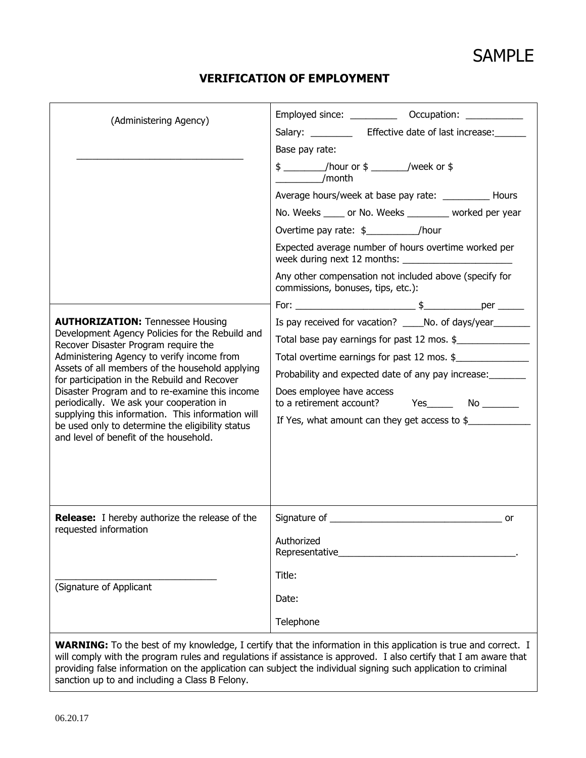#### **VERIFICATION OF EMPLOYMENT**

|                                                                                                                                                                                                                                                                                                                                                                                                                                                                                                                                      | Employed since: _____________ Occupation: ____________                                                                                                                                                                                                                                                                                                  |
|--------------------------------------------------------------------------------------------------------------------------------------------------------------------------------------------------------------------------------------------------------------------------------------------------------------------------------------------------------------------------------------------------------------------------------------------------------------------------------------------------------------------------------------|---------------------------------------------------------------------------------------------------------------------------------------------------------------------------------------------------------------------------------------------------------------------------------------------------------------------------------------------------------|
| (Administering Agency)                                                                                                                                                                                                                                                                                                                                                                                                                                                                                                               | Salary: _____________ Effective date of last increase: _______                                                                                                                                                                                                                                                                                          |
|                                                                                                                                                                                                                                                                                                                                                                                                                                                                                                                                      | Base pay rate:                                                                                                                                                                                                                                                                                                                                          |
|                                                                                                                                                                                                                                                                                                                                                                                                                                                                                                                                      | \$ ___________/hour or \$ _________/week or \$<br>/month                                                                                                                                                                                                                                                                                                |
|                                                                                                                                                                                                                                                                                                                                                                                                                                                                                                                                      | Average hours/week at base pay rate: ____________ Hours                                                                                                                                                                                                                                                                                                 |
|                                                                                                                                                                                                                                                                                                                                                                                                                                                                                                                                      | No. Weeks _____ or No. Weeks ________ worked per year                                                                                                                                                                                                                                                                                                   |
|                                                                                                                                                                                                                                                                                                                                                                                                                                                                                                                                      | Overtime pay rate: $\frac{1}{2}$ /hour                                                                                                                                                                                                                                                                                                                  |
|                                                                                                                                                                                                                                                                                                                                                                                                                                                                                                                                      | Expected average number of hours overtime worked per                                                                                                                                                                                                                                                                                                    |
|                                                                                                                                                                                                                                                                                                                                                                                                                                                                                                                                      | Any other compensation not included above (specify for<br>commissions, bonuses, tips, etc.):                                                                                                                                                                                                                                                            |
|                                                                                                                                                                                                                                                                                                                                                                                                                                                                                                                                      |                                                                                                                                                                                                                                                                                                                                                         |
| <b>AUTHORIZATION: Tennessee Housing</b><br>Development Agency Policies for the Rebuild and<br>Recover Disaster Program require the<br>Administering Agency to verify income from<br>Assets of all members of the household applying<br>for participation in the Rebuild and Recover<br>Disaster Program and to re-examine this income<br>periodically. We ask your cooperation in<br>supplying this information. This information will<br>be used only to determine the eligibility status<br>and level of benefit of the household. | Is pay received for vacation? ______ No. of days/year__________<br>Total base pay earnings for past 12 mos. \$<br>Total overtime earnings for past 12 mos. \$<br>Probability and expected date of any pay increase:<br>Does employee have access<br>to a retirement account? Yes_________ No _________<br>If Yes, what amount can they get access to \$ |
| <b>Release:</b> I hereby authorize the release of the<br>requested information                                                                                                                                                                                                                                                                                                                                                                                                                                                       | Authorized<br>Representative                                                                                                                                                                                                                                                                                                                            |
|                                                                                                                                                                                                                                                                                                                                                                                                                                                                                                                                      | Title:                                                                                                                                                                                                                                                                                                                                                  |
| (Signature of Applicant                                                                                                                                                                                                                                                                                                                                                                                                                                                                                                              | Date:                                                                                                                                                                                                                                                                                                                                                   |
|                                                                                                                                                                                                                                                                                                                                                                                                                                                                                                                                      | Telephone                                                                                                                                                                                                                                                                                                                                               |
|                                                                                                                                                                                                                                                                                                                                                                                                                                                                                                                                      | <b>WARNING:</b> To the best of my knowledge, I certify that the information in this application is true and correct. I                                                                                                                                                                                                                                  |

will comply with the program rules and regulations if assistance is approved. I also certify that I am aware that providing false information on the application can subject the individual signing such application to criminal sanction up to and including a Class B Felony.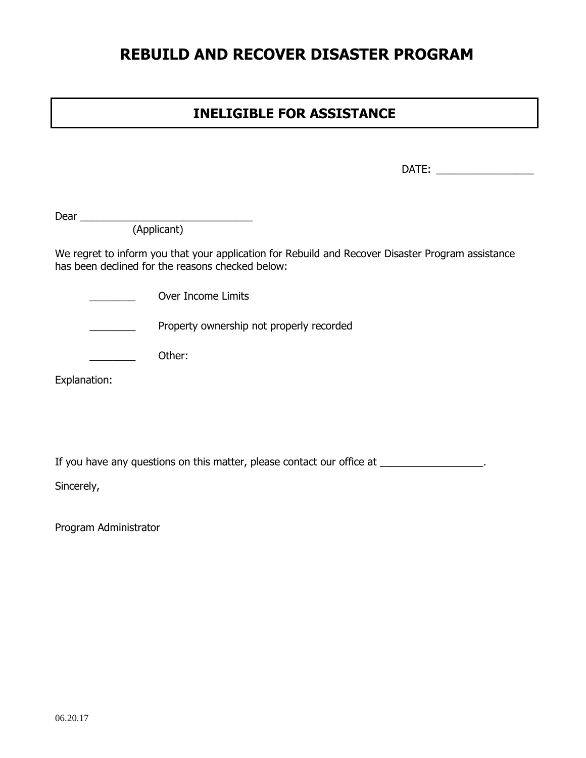## **REBUILD AND RECOVER DISASTER PROGRAM**

### **INELIGIBLE FOR ASSISTANCE**

DATE: \_\_\_\_\_\_\_\_\_\_\_\_\_\_\_\_\_

Dear \_\_\_\_\_\_\_\_\_\_\_\_\_\_\_\_\_\_\_\_\_\_\_\_\_\_\_\_\_\_

(Applicant)

We regret to inform you that your application for Rebuild and Recover Disaster Program assistance has been declined for the reasons checked below:

\_\_\_\_\_\_\_\_ Over Income Limits

**EXECUTE:** Property ownership not properly recorded

 $\rule{1em}{0em}$  Other:

Explanation:

If you have any questions on this matter, please contact our office at \_\_\_\_\_\_\_\_\_\_\_\_\_\_\_\_\_.

Sincerely,

Program Administrator